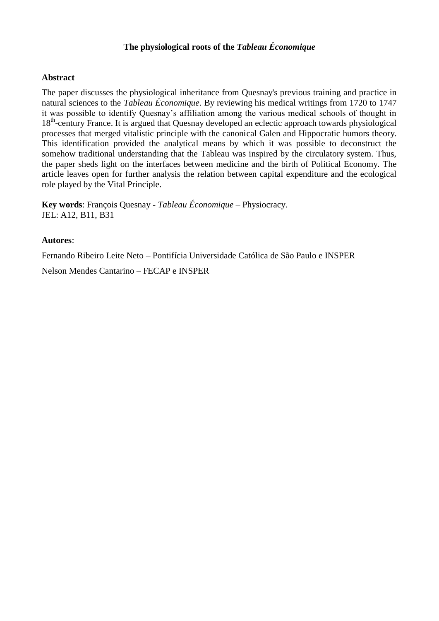### **The physiological roots of the** *Tableau Économique*

### **Abstract**

The paper discusses the physiological inheritance from Quesnay's previous training and practice in natural sciences to the *Tableau Économique*. By reviewing his medical writings from 1720 to 1747 it was possible to identify Quesnay's affiliation among the various medical schools of thought in 18<sup>th</sup>-century France. It is argued that Quesnay developed an eclectic approach towards physiological processes that merged vitalistic principle with the canonical Galen and Hippocratic humors theory. This identification provided the analytical means by which it was possible to deconstruct the somehow traditional understanding that the Tableau was inspired by the circulatory system. Thus, the paper sheds light on the interfaces between medicine and the birth of Political Economy. The article leaves open for further analysis the relation between capital expenditure and the ecological role played by the Vital Principle.

**Key words**: François Quesnay - *Tableau Économique* – Physiocracy. JEL: A12, B11, B31

### **Autores**:

Fernando Ribeiro Leite Neto – Pontifícia Universidade Católica de São Paulo e INSPER

Nelson Mendes Cantarino – FECAP e INSPER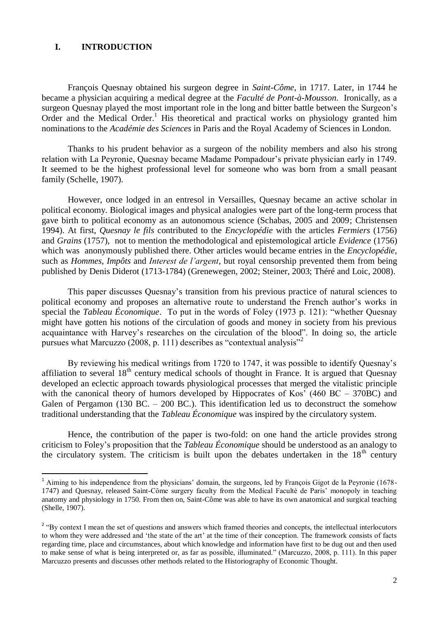#### **I. INTRODUCTION**

1

François Quesnay obtained his surgeon degree in *Saint-Côme*, in 1717. Later, in 1744 he became a physician acquiring a medical degree at the *Faculté de Pont-à-Mousson*. Ironically, as a surgeon Quesnay played the most important role in the long and bitter battle between the Surgeon's Order and the Medical Order.<sup>1</sup> His theoretical and practical works on physiology granted him nominations to the *Académie des Sciences* in Paris and the Royal Academy of Sciences in London.

Thanks to his prudent behavior as a surgeon of the nobility members and also his strong relation with La Peyronie, Quesnay became Madame Pompadour's private physician early in 1749. It seemed to be the highest professional level for someone who was born from a small peasant family (Schelle, 1907).

However, once lodged in an entresol in Versailles, Quesnay became an active scholar in political economy. Biological images and physical analogies were part of the long-term process that gave birth to political economy as an autonomous science (Schabas, 2005 and 2009; Christensen 1994). At first, *Quesnay le fils* contributed to the *Encyclopédie* with the articles *Fermiers* (1756) and *Grains* (1757), not to mention the methodological and epistemological article *Evidence* (1756) which was anonymously published there. Other articles would became entries in the *Encyclopédie*, such as *Hommes*, *Impôts* and *Interest de l'argent*, but royal censorship prevented them from being published by Denis Diderot (1713-1784) (Grenewegen, 2002; Steiner, 2003; Théré and Loic, 2008).

This paper discusses Quesnay's transition from his previous practice of natural sciences to political economy and proposes an alternative route to understand the French author's works in special the *Tableau Économique*. To put in the words of Foley (1973 p. 121): "whether Quesnay might have gotten his notions of the circulation of goods and money in society from his previous acquaintance with Harvey's researches on the circulation of the blood". In doing so, the article pursues what Marcuzzo (2008, p. 111) describes as "contextual analysis"<sup>2</sup>

By reviewing his medical writings from 1720 to 1747, it was possible to identify Quesnay's affiliation to several  $18<sup>th</sup>$  century medical schools of thought in France. It is argued that Quesnay developed an eclectic approach towards physiological processes that merged the vitalistic principle with the canonical theory of humors developed by Hippocrates of Kos' (460 BC – 370BC) and Galen of Pergamon (130 BC.  $-$  200 BC.). This identification led us to deconstruct the somehow traditional understanding that the *Tableau Économique* was inspired by the circulatory system.

Hence, the contribution of the paper is two-fold: on one hand the article provides strong criticism to Foley's proposition that the *Tableau Économique* should be understood as an analogy to the circulatory system. The criticism is built upon the debates undertaken in the  $18<sup>th</sup>$  century

<sup>&</sup>lt;sup>1</sup> Aiming to his independence from the physicians' domain, the surgeons, led by François Gigot de la Peyronie (1678-1747) and Quesnay, released Saint-Côme surgery faculty from the Medical Facultè de Paris' monopoly in teaching anatomy and physiology in 1750. From then on, Saint-Côme was able to have its own anatomical and surgical teaching (Shelle, 1907).

<sup>&</sup>lt;sup>2</sup> "By context I mean the set of questions and answers which framed theories and concepts, the intellectual interlocutors to whom they were addressed and 'the state of the art' at the time of their conception. The framework consists of facts regarding time, place and circumstances, about which knowledge and information have first to be dug out and then used to make sense of what is being interpreted or, as far as possible, illuminated." (Marcuzzo, 2008, p. 111). In this paper Marcuzzo presents and discusses other methods related to the Historiography of Economic Thought.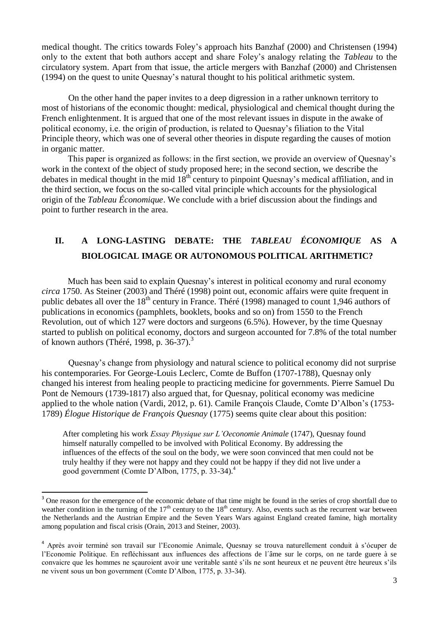medical thought. The critics towards Foley's approach hits Banzhaf (2000) and Christensen (1994) only to the extent that both authors accept and share Foley's analogy relating the *Tableau* to the circulatory system. Apart from that issue, the article mergers with Banzhaf (2000) and Christensen (1994) on the quest to unite Quesnay's natural thought to his political arithmetic system.

On the other hand the paper invites to a deep digression in a rather unknown territory to most of historians of the economic thought: medical, physiological and chemical thought during the French enlightenment. It is argued that one of the most relevant issues in dispute in the awake of political economy, i.e. the origin of production, is related to Quesnay's filiation to the Vital Principle theory, which was one of several other theories in dispute regarding the causes of motion in organic matter.

This paper is organized as follows: in the first section, we provide an overview of Quesnay's work in the context of the object of study proposed here; in the second section, we describe the debates in medical thought in the mid  $18<sup>th</sup>$  century to pinpoint Quesnay's medical affiliation, and in the third section, we focus on the so-called vital principle which accounts for the physiological origin of the *Tableau Économique*. We conclude with a brief discussion about the findings and point to further research in the area.

# **II. A LONG-LASTING DEBATE: THE** *TABLEAU ÉCONOMIQUE* **AS A BIOLOGICAL IMAGE OR AUTONOMOUS POLITICAL ARITHMETIC?**

Much has been said to explain Quesnay's interest in political economy and rural economy *circa* 1750. As Steiner (2003) and Théré (1998) point out, economic affairs were quite frequent in public debates all over the  $18<sup>th</sup>$  century in France. Théré (1998) managed to count 1,946 authors of publications in economics (pamphlets, booklets, books and so on) from 1550 to the French Revolution, out of which 127 were doctors and surgeons (6.5%). However, by the time Quesnay started to publish on political economy, doctors and surgeon accounted for 7.8% of the total number of known authors (Théré, 1998, p. 36-37). $3$ 

Quesnay's change from physiology and natural science to political economy did not surprise his contemporaries. For George-Louis Leclerc, Comte de Buffon (1707-1788), Quesnay only changed his interest from healing people to practicing medicine for governments. Pierre Samuel Du Pont de Nemours (1739-1817) also argued that, for Quesnay, political economy was medicine applied to the whole nation (Vardi, 2012, p. 61). Camile François Claude, Comte D'Albon's (1753- 1789) *Élogue Historique de François Quesnay* (1775) seems quite clear about this position:

After completing his work *Essay Physique sur L'Oeconomie Animale* (1747), Quesnay found himself naturally compelled to be involved with Political Economy. By addressing the influences of the effects of the soul on the body, we were soon convinced that men could not be truly healthy if they were not happy and they could not be happy if they did not live under a good government (Comte D'Albon, 1775, p. 33-34). 4

.

<sup>&</sup>lt;sup>3</sup> One reason for the emergence of the economic debate of that time might be found in the series of crop shortfall due to weather condition in the turning of the  $17<sup>th</sup>$  century to the  $18<sup>th</sup>$  century. Also, events such as the recurrent war between the Netherlands and the Austrian Empire and the Seven Years Wars against England created famine, high mortality among population and fiscal crisis (Orain, 2013 and Steiner, 2003).

<sup>4</sup> Après avoir terminé son travail sur l'Economie Animale, Quesnay se trouva naturellement conduit à s'ócuper de l'Economie Politique. En refléchissant aux influences des affections de l´âme sur le corps, on ne tarde guere à se convaicre que les hommes ne sçauroient avoir une veritable santé s'ils ne sont heureux et ne peuvent être heureux s'ils ne vivent sous un bon government (Comte D'Albon, 1775, p. 33-34).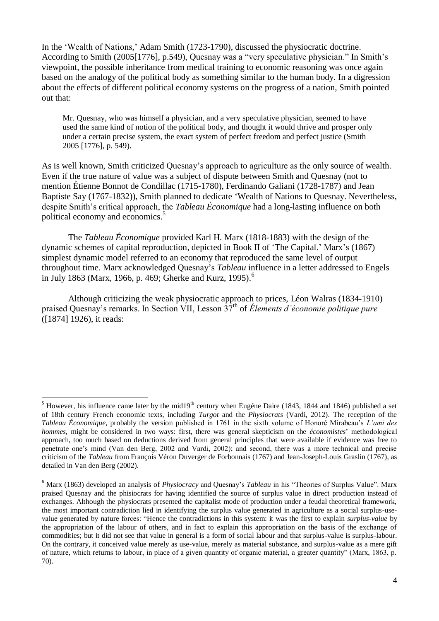In the 'Wealth of Nations,' Adam Smith (1723-1790), discussed the physiocratic doctrine. According to Smith (2005[1776], p.549), Quesnay was a "very speculative physician." In Smith's viewpoint, the possible inheritance from medical training to economic reasoning was once again based on the analogy of the political body as something similar to the human body. In a digression about the effects of different political economy systems on the progress of a nation, Smith pointed out that:

Mr. Quesnay, who was himself a physician, and a very speculative physician, seemed to have used the same kind of notion of the political body, and thought it would thrive and prosper only under a certain precise system, the exact system of perfect freedom and perfect justice (Smith 2005 [1776], p. 549).

As is well known, Smith criticized Quesnay's approach to agriculture as the only source of wealth. Even if the true nature of value was a subject of dispute between Smith and Quesnay (not to mention Étienne Bonnot de Condillac (1715-1780), Ferdinando Galiani (1728-1787) and Jean Baptiste Say (1767-1832)), Smith planned to dedicate 'Wealth of Nations to Quesnay. Nevertheless, despite Smith's critical approach, the *Tableau Économique* had a long-lasting influence on both political economy and economics. 5

The *Tableau Économique* provided Karl H. Marx (1818-1883) with the design of the dynamic schemes of capital reproduction, depicted in Book II of 'The Capital.' Marx's (1867) simplest dynamic model referred to an economy that reproduced the same level of output throughout time. Marx acknowledged Quesnay's *Tableau* influence in a letter addressed to Engels in July 1863 (Marx, 1966, p. 469; Gherke and Kurz, 1995). 6

Although criticizing the weak physiocratic approach to prices, Léon Walras (1834-1910) praised Quesnay's remarks. In Section VII, Lesson 37th of *Élements d'économie politique pure* ([1874] 1926), it reads:

.

 $5$  However, his influence came later by the mid19<sup>th</sup> century when Eugéne Daire (1843, 1844 and 1846) published a set of 18th century French economic texts, including *Turgot* and the *Physiocrats* (Vardi, 2012). The reception of the *Tableau Économique*, probably the version published in 1761 in the sixth volume of Honoré Mirabeau's *L'ami des hommes*, might be considered in two ways: first, there was general skepticism on the *économistes*' methodological approach, too much based on deductions derived from general principles that were available if evidence was free to penetrate one's mind (Van den Berg, 2002 and Vardi, 2002); and second, there was a more technical and precise criticism of the *Tableau* from François Véron Duverger de Forbonnais (1767) and Jean-Joseph-Louis Graslin (1767), as detailed in Van den Berg (2002).

<sup>6</sup> Marx (1863) developed an analysis of *Physiocracy* and Quesnay's *Tableau* in his "Theories of Surplus Value". Marx praised Quesnay and the phisiocrats for having identified the source of surplus value in direct production instead of exchanges. Although the physiocrats presented the capitalist mode of production under a feudal theoretical framework, the most important contradiction lied in identifying the surplus value generated in agriculture as a social surplus-usevalue generated by nature forces: "Hence the contradictions in this system: it was the first to explain *surplus-value* by the appropriation of the labour of others, and in fact to explain this appropriation on the basis of the exchange of commodities; but it did not see that value in general is a form of social labour and that surplus-value is surplus-labour. On the contrary, it conceived value merely as use-value, merely as material substance, and surplus-value as a mere gift of nature, which returns to labour, in place of a given quantity of organic material, a greater quantity" (Marx, 1863, p. 70).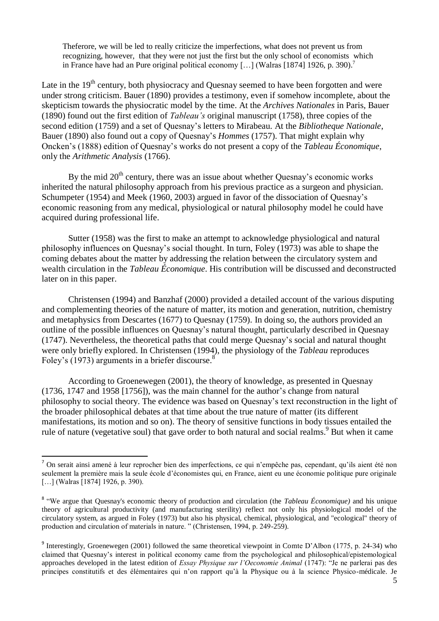Theferore, we will be led to really criticize the imperfections, what does not prevent us from recognizing, however, that they were not just the first but the only school of economists which in France have had an Pure original political economy […] (Walras [1874] 1926, p. 390). 7

Late in the  $19<sup>th</sup>$  century, both physiocracy and Quesnay seemed to have been forgotten and were under strong criticism. Bauer (1890) provides a testimony, even if somehow incomplete, about the skepticism towards the physiocratic model by the time. At the *Archives Nationales* in Paris, Bauer (1890) found out the first edition of *Tableau's* original manuscript (1758), three copies of the second edition (1759) and a set of Quesnay's letters to Mirabeau. At the *Bibliotheque Nationale*, Bauer (1890) also found out a copy of Quesnay's *Hommes* (1757). That might explain why Oncken's (1888) edition of Quesnay's works do not present a copy of the *Tableau Économique*, only the *Arithmetic Analysis* (1766).

By the mid  $20<sup>th</sup>$  century, there was an issue about whether Ouesnay's economic works inherited the natural philosophy approach from his previous practice as a surgeon and physician. Schumpeter (1954) and Meek (1960, 2003) argued in favor of the dissociation of Quesnay's economic reasoning from any medical, physiological or natural philosophy model he could have acquired during professional life.

Sutter (1958) was the first to make an attempt to acknowledge physiological and natural philosophy influences on Quesnay's social thought. In turn, Foley (1973) was able to shape the coming debates about the matter by addressing the relation between the circulatory system and wealth circulation in the *Tableau Économique*. His contribution will be discussed and deconstructed later on in this paper.

Christensen (1994) and Banzhaf (2000) provided a detailed account of the various disputing and complementing theories of the nature of matter, its motion and generation, nutrition, chemistry and metaphysics from Descartes (1677) to Quesnay (1759). In doing so, the authors provided an outline of the possible influences on Quesnay's natural thought, particularly described in Quesnay (1747). Nevertheless, the theoretical paths that could merge Quesnay's social and natural thought were only briefly explored. In Christensen (1994), the physiology of the *Tableau* reproduces Foley's (1973) arguments in a briefer discourse.<sup>8</sup>

According to Groenewegen (2001), the theory of knowledge, as presented in Quesnay (1736, 1747 and 1958 [1756]), was the main channel for the author's change from natural philosophy to social theory. The evidence was based on Quesnay's text reconstruction in the light of the broader philosophical debates at that time about the true nature of matter (its different manifestations, its motion and so on). The theory of sensitive functions in body tissues entailed the rule of nature (vegetative soul) that gave order to both natural and social realms.<sup>9</sup> But when it came

 $<sup>7</sup>$  On serait ainsi amené à leur reprocher bien des imperfections, ce qui n'empêche pas, cependant, qu'ils aient été non</sup> seulement la première mais la seule école d'économistes qui, en France, aient eu une économie politique pure originale [...] (Walras [1874] 1926, p. 390).

<sup>&</sup>lt;sup>8</sup> "We argue that Quesnay's economic theory of production and circulation (the *Tableau Économique*) and his unique theory of agricultural productivity (and manufacturing sterility) reflect not only his physiological model of the circulatory system, as argued in Foley (1973) but also his physical, chemical, physiological, and "ecological" theory of production and circulation of materials in nature. " (Christensen, 1994, p. 249-259).

<sup>&</sup>lt;sup>9</sup> Interestingly, Groenewegen (2001) followed the same theoretical viewpoint in Comte D'Albon (1775, p. 24-34) who claimed that Quesnay's interest in political economy came from the psychological and philosophical/epistemological approaches developed in the latest edition of *Essay Physique sur l'Oeconomie Animal* (1747): "Je ne parlerai pas des principes constitutifs et des élémentaires qui n'on rapport qu'à la Physique ou à la science Physico-médicale. Je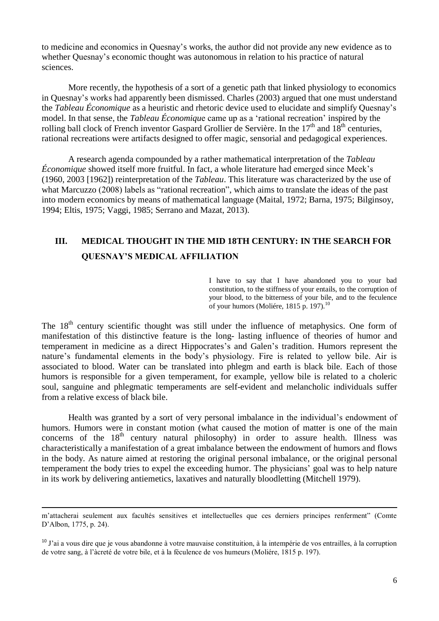to medicine and economics in Quesnay's works, the author did not provide any new evidence as to whether Quesnay's economic thought was autonomous in relation to his practice of natural sciences.

More recently, the hypothesis of a sort of a genetic path that linked physiology to economics in Quesnay's works had apparently been dismissed. Charles (2003) argued that one must understand the *Tableau Économique* as a heuristic and rhetoric device used to elucidate and simplify Quesnay's model. In that sense, the *Tableau Économiqu*e came up as a 'rational recreation' inspired by the rolling ball clock of French inventor Gaspard Grollier de Servière. In the  $17<sup>th</sup>$  and  $18<sup>th</sup>$  centuries, rational recreations were artifacts designed to offer magic, sensorial and pedagogical experiences.

A research agenda compounded by a rather mathematical interpretation of the *Tableau Économique* showed itself more fruitful. In fact, a whole literature had emerged since Meek's (1960, 2003 [1962]) reinterpretation of the *Tableau*. This literature was characterized by the use of what Marcuzzo (2008) labels as "rational recreation", which aims to translate the ideas of the past into modern economics by means of mathematical language (Maital, 1972; Barna, 1975; Bilginsoy, 1994; Eltis, 1975; Vaggi, 1985; Serrano and Mazat, 2013).

# **III. MEDICAL THOUGHT IN THE MID 18TH CENTURY: IN THE SEARCH FOR QUESNAY'S MEDICAL AFFILIATION**

I have to say that I have abandoned you to your bad constitution, to the stiffness of your entails, to the corruption of your blood, to the bitterness of your bile, and to the feculence of your humors (Moliére, 1815 p. 197).<sup>10</sup>

The  $18<sup>th</sup>$  century scientific thought was still under the influence of metaphysics. One form of manifestation of this distinctive feature is the long- lasting influence of theories of humor and temperament in medicine as a direct Hippocrates's and Galen's tradition. Humors represent the nature's fundamental elements in the body's physiology. Fire is related to yellow bile. Air is associated to blood. Water can be translated into phlegm and earth is black bile. Each of those humors is responsible for a given temperament, for example, yellow bile is related to a choleric soul, sanguine and phlegmatic temperaments are self-evident and melancholic individuals suffer from a relative excess of black bile.

Health was granted by a sort of very personal imbalance in the individual's endowment of humors. Humors were in constant motion (what caused the motion of matter is one of the main concerns of the  $18<sup>th</sup>$  century natural philosophy) in order to assure health. Illness was characteristically a manifestation of a great imbalance between the endowment of humors and flows in the body. As nature aimed at restoring the original personal imbalance, or the original personal temperament the body tries to expel the exceeding humor. The physicians' goal was to help nature in its work by delivering antiemetics, laxatives and naturally bloodletting (Mitchell 1979).

m'attacherai seulement aux facultés sensitives et intellectuelles que ces derniers principes renferment" (Comte D'Albon, 1775, p. 24).

 $10$  J'ai a vous dire que je vous abandonne à votre mauvaise constituition, à la intempérie de vos entrailles, à la corruption de votre sang, à l'àcreté de votre bile, et à la féculence de vos humeurs (Moliére, 1815 p. 197).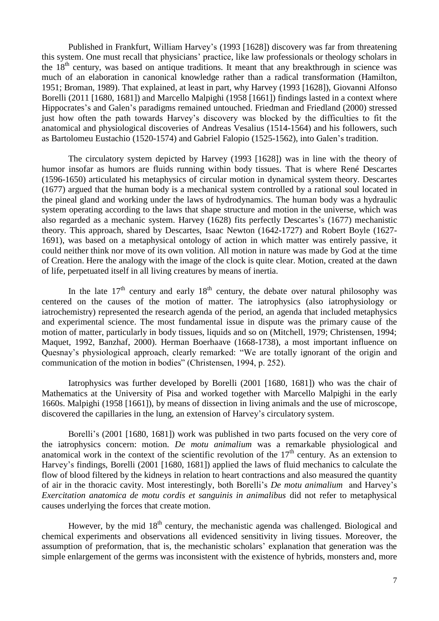Published in Frankfurt, William Harvey's (1993 [1628]) discovery was far from threatening this system. One must recall that physicians' practice, like law professionals or theology scholars in the  $18<sup>th</sup>$  century, was based on antique traditions. It meant that any breakthrough in science was much of an elaboration in canonical knowledge rather than a radical transformation (Hamilton, 1951; Broman, 1989). That explained, at least in part, why Harvey (1993 [1628]), Giovanni Alfonso Borelli (2011 [1680, 1681]) and Marcello Malpighi (1958 [1661]) findings lasted in a context where Hippocrates's and Galen's paradigms remained untouched. Friedman and Friedland (2000) stressed just how often the path towards Harvey's discovery was blocked by the difficulties to fit the anatomical and physiological discoveries of Andreas Vesalius (1514-1564) and his followers, such as Bartolomeu Eustachio (1520-1574) and Gabriel Falopio (1525-1562), into Galen's tradition.

The circulatory system depicted by Harvey (1993 [1628]) was in line with the theory of humor insofar as humors are fluids running within body tissues. That is where René Descartes (1596-1650) articulated his metaphysics of circular motion in dynamical system theory. Descartes (1677) argued that the human body is a mechanical system controlled by a rational soul located in the pineal gland and working under the laws of hydrodynamics. The human body was a hydraulic system operating according to the laws that shape structure and motion in the universe, which was also regarded as a mechanic system. Harvey (1628) fits perfectly Descartes's (1677) mechanistic theory. This approach, shared by Descartes, Isaac Newton (1642-1727) and Robert Boyle (1627- 1691), was based on a metaphysical ontology of action in which matter was entirely passive, it could neither think nor move of its own volition. All motion in nature was made by God at the time of Creation. Here the analogy with the image of the clock is quite clear. Motion, created at the dawn of life, perpetuated itself in all living creatures by means of inertia.

In the late  $17<sup>th</sup>$  century and early  $18<sup>th</sup>$  century, the debate over natural philosophy was centered on the causes of the motion of matter. The iatrophysics (also iatrophysiology or iatrochemistry) represented the research agenda of the period, an agenda that included metaphysics and experimental science. The most fundamental issue in dispute was the primary cause of the motion of matter, particularly in body tissues, liquids and so on (Mitchell, 1979; Christensen, 1994; Maquet, 1992, Banzhaf, 2000). Herman Boerhaave (1668-1738), a most important influence on Quesnay's physiological approach, clearly remarked: "We are totally ignorant of the origin and communication of the motion in bodies" (Christensen, 1994, p. 252).

Iatrophysics was further developed by Borelli (2001 [1680, 1681]) who was the chair of Mathematics at the University of Pisa and worked together with Marcello Malpighi in the early 1660s. Malpighi (1958 [1661]), by means of dissection in living animals and the use of microscope, discovered the capillaries in the lung, an extension of Harvey's circulatory system.

Borelli's (2001 [1680, 1681]) work was published in two parts focused on the very core of the iatrophysics concern: motion. *De motu animalium* was a remarkable physiological and anatomical work in the context of the scientific revolution of the  $17<sup>th</sup>$  century. As an extension to Harvey's findings, Borelli (2001 [1680, 1681]) applied the laws of fluid mechanics to calculate the flow of blood filtered by the kidneys in relation to heart contractions and also measured the quantity of air in the thoracic cavity. Most interestingly, both Borelli's *De motu animalium* and Harvey's *Exercitation anatomica de motu cordis et sanguinis in animalibus* did not refer to metaphysical causes underlying the forces that create motion.

However, by the mid 18<sup>th</sup> century, the mechanistic agenda was challenged. Biological and chemical experiments and observations all evidenced sensitivity in living tissues. Moreover, the assumption of preformation, that is, the mechanistic scholars' explanation that generation was the simple enlargement of the germs was inconsistent with the existence of hybrids, monsters and, more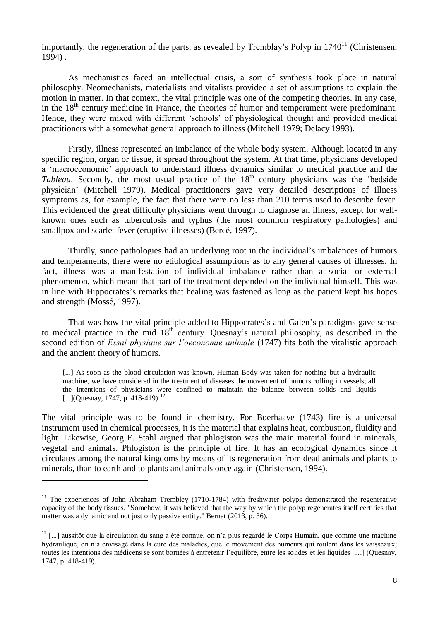importantly, the regeneration of the parts, as revealed by Tremblay's Polyp in  $1740^{11}$  (Christensen, 1994) .

As mechanistics faced an intellectual crisis, a sort of synthesis took place in natural philosophy. Neomechanists, materialists and vitalists provided a set of assumptions to explain the motion in matter. In that context, the vital principle was one of the competing theories. In any case, in the  $18<sup>th</sup>$  century medicine in France, the theories of humor and temperament were predominant. Hence, they were mixed with different 'schools' of physiological thought and provided medical practitioners with a somewhat general approach to illness (Mitchell 1979; Delacy 1993).

Firstly, illness represented an imbalance of the whole body system. Although located in any specific region, organ or tissue, it spread throughout the system. At that time, physicians developed a 'macroeconomic' approach to understand illness dynamics similar to medical practice and the *Tableau*. Secondly, the most usual practice of the 18<sup>th</sup> century physicians was the 'bedside' physician' (Mitchell 1979). Medical practitioners gave very detailed descriptions of illness symptoms as, for example, the fact that there were no less than 210 terms used to describe fever. This evidenced the great difficulty physicians went through to diagnose an illness, except for wellknown ones such as tuberculosis and typhus (the most common respiratory pathologies) and smallpox and scarlet fever (eruptive illnesses) (Bercé, 1997).

Thirdly, since pathologies had an underlying root in the individual's imbalances of humors and temperaments, there were no etiological assumptions as to any general causes of illnesses. In fact, illness was a manifestation of individual imbalance rather than a social or external phenomenon, which meant that part of the treatment depended on the individual himself. This was in line with Hippocrates's remarks that healing was fastened as long as the patient kept his hopes and strength (Mossé, 1997).

That was how the vital principle added to Hippocrates's and Galen's paradigms gave sense to medical practice in the mid  $18<sup>th</sup>$  century. Quesnay's natural philosophy, as described in the second edition of *Essai physique sur l'oeconomie animale* (1747) fits both the vitalistic approach and the ancient theory of humors.

[...] As soon as the blood circulation was known, Human Body was taken for nothing but a hydraulic machine, we have considered in the treatment of diseases the movement of humors rolling in vessels; all the intentions of physicians were confined to maintain the balance between solids and liquids [...](Quesnay, 1747, p. 418-419)<sup>. 12</sup>

The vital principle was to be found in chemistry. For Boerhaave (1743) fire is a universal instrument used in chemical processes, it is the material that explains heat, combustion, fluidity and light. Likewise, Georg E. Stahl argued that phlogiston was the main material found in minerals, vegetal and animals. Phlogiston is the principle of fire. It has an ecological dynamics since it circulates among the natural kingdoms by means of its regeneration from dead animals and plants to minerals, than to earth and to plants and animals once again (Christensen, 1994).

<sup>&</sup>lt;sup>11</sup> The experiences of John Abraham Trembley (1710-1784) with freshwater polyps demonstrated the regenerative capacity of the body tissues. "Somehow, it was believed that the way by which the polyp regenerates itself certifies that matter was a dynamic and not just only passive entity." Bernat (2013, p. 36).

 $12$  [...] aussitôt que la circulation du sang a été connue, on n'a plus regardé le Corps Humain, que comme une machine hydraulique, on n'a envisagé dans la cure des maladies, que le movement des humeurs qui roulent dans les vaisseaux; toutes les intentions des médicens se sont bornées à entretenir l'equilibre, entre les solides et les liquides […] (Quesnay, 1747, p. 418-419).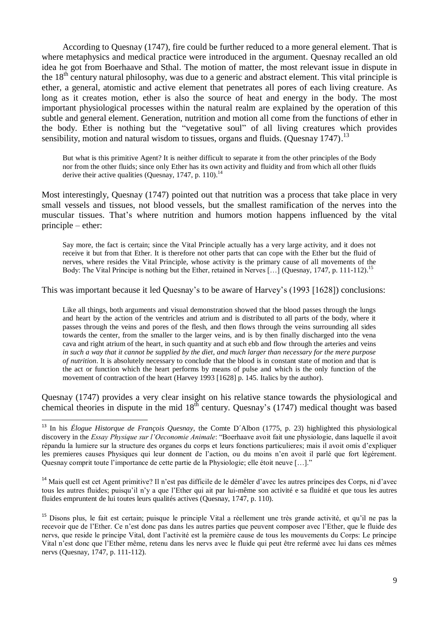According to Quesnay (1747), fire could be further reduced to a more general element. That is where metaphysics and medical practice were introduced in the argument. Quesnay recalled an old idea he got from Boerhaave and Sthal. The motion of matter, the most relevant issue in dispute in the  $18<sup>th</sup>$  century natural philosophy, was due to a generic and abstract element. This vital principle is ether, a general, atomistic and active element that penetrates all pores of each living creature. As long as it creates motion, ether is also the source of heat and energy in the body. The most important physiological processes within the natural realm are explained by the operation of this subtle and general element. Generation, nutrition and motion all come from the functions of ether in the body. Ether is nothing but the "vegetative soul" of all living creatures which provides sensibility, motion and natural wisdom to tissues, organs and fluids. (Quesnay 1747).<sup>13</sup>

But what is this primitive Agent? It is neither difficult to separate it from the other principles of the Body nor from the other fluids; since only Ether has its own activity and fluidity and from which all other fluids derive their active qualities (Quesnay, 1747, p. 110).<sup>14</sup>

Most interestingly, Quesnay (1747) pointed out that nutrition was a process that take place in very small vessels and tissues, not blood vessels, but the smallest ramification of the nerves into the muscular tissues. That's where nutrition and humors motion happens influenced by the vital principle – ether:

Say more, the fact is certain; since the Vital Principle actually has a very large activity, and it does not receive it but from that Ether. It is therefore not other parts that can cope with the Ether but the fluid of nerves, where resides the Vital Principle, whose activity is the primary cause of all movements of the Body: The Vital Príncipe is nothing but the Ether, retained in Nerves [...] (Quesnay, 1747, p. 111-112).<sup>15</sup>

This was important because it led Quesnay's to be aware of Harvey's (1993 [1628]) conclusions:

Like all things, both arguments and visual demonstration showed that the blood passes through the lungs and heart by the action of the ventricles and atrium and is distributed to all parts of the body, where it passes through the veins and pores of the flesh, and then flows through the veins surrounding all sides towards the center, from the smaller to the larger veins, and is by then finally discharged into the vena cava and right atrium of the heart, in such quantity and at such ebb and flow through the arteries and veins *in such a way that it cannot be supplied by the diet, and much larger than necessary for the mere purpose of nutrition*. It is absolutely necessary to conclude that the blood is in constant state of motion and that is the act or function which the heart performs by means of pulse and which is the only function of the movement of contraction of the heart (Harvey 1993 [1628] p. 145. Italics by the author).

Quesnay (1747) provides a very clear insight on his relative stance towards the physiological and chemical theories in dispute in the mid  $18<sup>th</sup>$  century. Quesnay's (1747) medical thought was based

1

<sup>14</sup> Mais quell est cet Agent primitive? Il n'est pas difficile de le démêler d'avec les autres príncipes des Corps, ni d'avec tous les autres fluides; puisqu'il n'y a que l'Ether qui ait par lui-même son activité e sa fluidité et que tous les autres fluides empruntent de lui toutes leurs qualités actives (Quesnay, 1747, p. 110).

<sup>13</sup> In his *Élogue Historque de François Quesnay*, the Comte D´Albon (1775, p. 23) highlighted this physiological discovery in the *Essay Physique sur l'Oeconomie Animale*: "Boerhaave avoit fait une physiologie, dans laquelle il avoit répandu la lumiere sur la structure des organes du corps et leurs fonctions particulieres; mais il avoit omis d'expliquer les premieres causes Physiques qui leur donnent de l'action, ou du moins n'en avoit il parlé que fort légérement. Quesnay comprit toute l'importance de cette partie de la Physiologie; elle étoit neuve […]."

<sup>&</sup>lt;sup>15</sup> Disons plus, le fait est certain; puisque le principle Vital a réellement une très grande activité, et qu'il ne pas la recevoir que de l'Ether. Ce n'est donc pas dans les autres parties que peuvent composer avec l'Ether, que le fluide des nervs, que reside le príncipe Vital, dont l'activité est la première cause de tous les mouvements du Corps: Le príncipe Vital n'est donc que l'Ether même, retenu dans les nervs avec le fluide qui peut être refermé avec lui dans ces mêmes nervs (Quesnay, 1747, p. 111-112).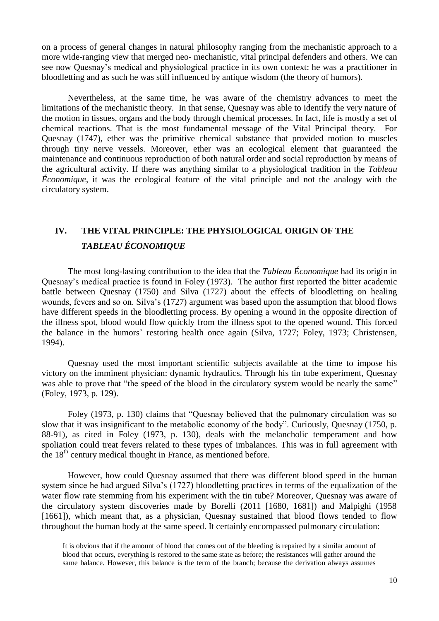on a process of general changes in natural philosophy ranging from the mechanistic approach to a more wide-ranging view that merged neo- mechanistic, vital principal defenders and others. We can see now Quesnay's medical and physiological practice in its own context: he was a practitioner in bloodletting and as such he was still influenced by antique wisdom (the theory of humors).

Nevertheless, at the same time, he was aware of the chemistry advances to meet the limitations of the mechanistic theory. In that sense, Quesnay was able to identify the very nature of the motion in tissues, organs and the body through chemical processes. In fact, life is mostly a set of chemical reactions. That is the most fundamental message of the Vital Principal theory. For Quesnay (1747), ether was the primitive chemical substance that provided motion to muscles through tiny nerve vessels. Moreover, ether was an ecological element that guaranteed the maintenance and continuous reproduction of both natural order and social reproduction by means of the agricultural activity. If there was anything similar to a physiological tradition in the *Tableau Économique*, it was the ecological feature of the vital principle and not the analogy with the circulatory system.

### **IV. THE VITAL PRINCIPLE: THE PHYSIOLOGICAL ORIGIN OF THE**  *TABLEAU ÉCONOMIQUE*

The most long-lasting contribution to the idea that the *Tableau Économique* had its origin in Quesnay's medical practice is found in Foley (1973). The author first reported the bitter academic battle between Quesnay (1750) and Silva (1727) about the effects of bloodletting on healing wounds, fevers and so on. Silva's (1727) argument was based upon the assumption that blood flows have different speeds in the bloodletting process. By opening a wound in the opposite direction of the illness spot, blood would flow quickly from the illness spot to the opened wound. This forced the balance in the humors' restoring health once again (Silva, 1727; Foley, 1973; Christensen, 1994).

Quesnay used the most important scientific subjects available at the time to impose his victory on the imminent physician: dynamic hydraulics. Through his tin tube experiment, Quesnay was able to prove that "the speed of the blood in the circulatory system would be nearly the same" (Foley, 1973, p. 129).

Foley (1973, p. 130) claims that "Quesnay believed that the pulmonary circulation was so slow that it was insignificant to the metabolic economy of the body". Curiously, Quesnay (1750, p. 88-91), as cited in Foley (1973, p. 130), deals with the melancholic temperament and how spoliation could treat fevers related to these types of imbalances. This was in full agreement with the 18<sup>th</sup> century medical thought in France, as mentioned before.

However, how could Quesnay assumed that there was different blood speed in the human system since he had argued Silva's (1727) bloodletting practices in terms of the equalization of the water flow rate stemming from his experiment with the tin tube? Moreover, Quesnay was aware of the circulatory system discoveries made by Borelli (2011 [1680, 1681]) and Malpighi (1958 [1661]), which meant that, as a physician, Quesnay sustained that blood flows tended to flow throughout the human body at the same speed. It certainly encompassed pulmonary circulation:

It is obvious that if the amount of blood that comes out of the bleeding is repaired by a similar amount of blood that occurs, everything is restored to the same state as before; the resistances will gather around the same balance. However, this balance is the term of the branch; because the derivation always assumes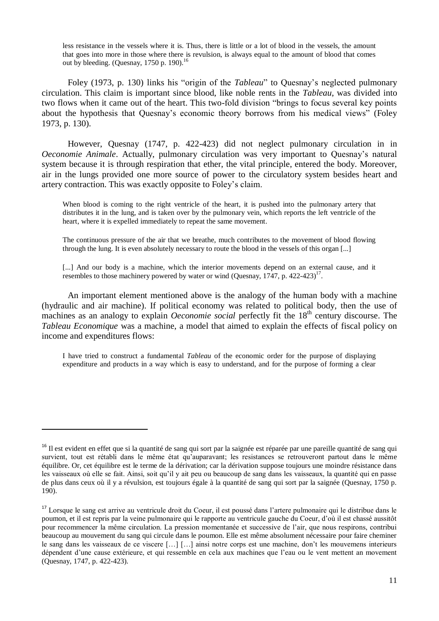less resistance in the vessels where it is. Thus, there is little or a lot of blood in the vessels, the amount that goes into more in those where there is revulsion, is always equal to the amount of blood that comes out by bleeding. (Quesnay, 1750 p. 190).<sup>16</sup>

Foley (1973, p. 130) links his "origin of the *Tableau*" to Quesnay's neglected pulmonary circulation. This claim is important since blood, like noble rents in the *Tableau*, was divided into two flows when it came out of the heart. This two-fold division "brings to focus several key points about the hypothesis that Quesnay's economic theory borrows from his medical views" (Foley 1973, p. 130).

However, Quesnay (1747, p. 422-423) did not neglect pulmonary circulation in in *Oeconomie Animale*. Actually, pulmonary circulation was very important to Quesnay's natural system because it is through respiration that ether, the vital principle, entered the body. Moreover, air in the lungs provided one more source of power to the circulatory system besides heart and artery contraction. This was exactly opposite to Foley's claim.

When blood is coming to the right ventricle of the heart, it is pushed into the pulmonary artery that distributes it in the lung, and is taken over by the pulmonary vein, which reports the left ventricle of the heart, where it is expelled immediately to repeat the same movement.

The continuous pressure of the air that we breathe, much contributes to the movement of blood flowing through the lung. It is even absolutely necessary to route the blood in the vessels of this organ [...]

[...] And our body is a machine, which the interior movements depend on an external cause, and it resembles to those machinery powered by water or wind (Quesnay, 1747, p. 422-423) $<sup>17</sup>$ .</sup>

An important element mentioned above is the analogy of the human body with a machine (hydraulic and air machine). If political economy was related to political body, then the use of machines as an analogy to explain *Oeconomie social* perfectly fit the 18<sup>th</sup> century discourse. The *Tableau Economique* was a machine, a model that aimed to explain the effects of fiscal policy on income and expenditures flows:

I have tried to construct a fundamental *Tableau* of the economic order for the purpose of displaying expenditure and products in a way which is easy to understand, and for the purpose of forming a clear

<sup>&</sup>lt;sup>16</sup> Il est evident en effet que si la quantité de sang qui sort par la saignée est réparée par une pareille quantité de sang qui survient, tout est rétabli dans le même état qu'auparavant; les resistances se retrouveront partout dans le même équilibre. Or, cet équilibre est le terme de la dérivation; car la dérivation suppose toujours une moindre résistance dans les vaisseaux où elle se fait. Ainsi, soit qu'il y ait peu ou beaucoup de sang dans les vaisseaux, la quantité qui en passe de plus dans ceux où il y a révulsion, est toujours égale à la quantité de sang qui sort par la saignée (Quesnay, 1750 p. 190).

<sup>&</sup>lt;sup>17</sup> Lorsque le sang est arrive au ventricule droit du Coeur, il est poussé dans l'artere pulmonaire qui le distribue dans le poumon, et il est repris par la veine pulmonaire qui le rapporte au ventricule gauche du Coeur, d'où il est chassé aussitôt pour recommencer la même circulation. La pression momentanée et successive de l'air, que nous respirons, contribui beaucoup au mouvement du sang qui circule dans le poumon. Elle est même absolument nécessaire pour faire cheminer le sang dans les vaisseaux de ce viscere […] […] ainsi notre corps est une machine, don't les mouvemens interieurs dépendent d'une cause extérieure, et qui ressemble en cela aux machines que l'eau ou le vent mettent an movement (Quesnay, 1747, p. 422-423).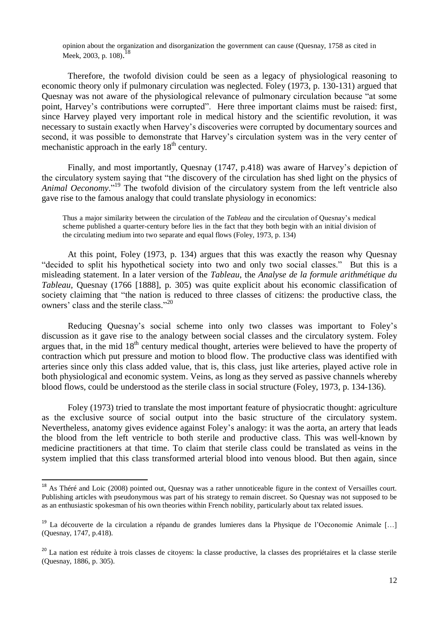opinion about the organization and disorganization the government can cause (Quesnay, 1758 as cited in Meek, 2003, p. 108).<sup>18</sup>

Therefore, the twofold division could be seen as a legacy of physiological reasoning to economic theory only if pulmonary circulation was neglected. Foley (1973, p. 130-131) argued that Quesnay was not aware of the physiological relevance of pulmonary circulation because "at some point, Harvey's contributions were corrupted". Here three important claims must be raised: first, since Harvey played very important role in medical history and the scientific revolution, it was necessary to sustain exactly when Harvey's discoveries were corrupted by documentary sources and second, it was possible to demonstrate that Harvey's circulation system was in the very center of mechanistic approach in the early  $18<sup>th</sup>$  century.

Finally, and most importantly, Quesnay (1747, p.418) was aware of Harvey's depiction of the circulatory system saying that "the discovery of the circulation has shed light on the physics of *Animal Oeconomy*." <sup>19</sup> The twofold division of the circulatory system from the left ventricle also gave rise to the famous analogy that could translate physiology in economics:

Thus a major similarity between the circulation of the *Tableau* and the circulation of Quesnay's medical scheme published a quarter-century before lies in the fact that they both begin with an initial division of the circulating medium into two separate and equal flows (Foley, 1973, p. 134)

At this point, Foley (1973, p. 134) argues that this was exactly the reason why Quesnay "decided to split his hypothetical society into two and only two social classes." But this is a misleading statement. In a later version of the *Tableau*, the *Analyse de la formule arithmétique du Tableau,* Quesnay (1766 [1888], p. 305) was quite explicit about his economic classification of society claiming that "the nation is reduced to three classes of citizens: the productive class, the owners' class and the sterile class." 20

Reducing Quesnay's social scheme into only two classes was important to Foley's discussion as it gave rise to the analogy between social classes and the circulatory system. Foley argues that, in the mid 18<sup>th</sup> century medical thought, arteries were believed to have the property of contraction which put pressure and motion to blood flow. The productive class was identified with arteries since only this class added value, that is, this class, just like arteries, played active role in both physiological and economic system. Veins, as long as they served as passive channels whereby blood flows, could be understood as the sterile class in social structure (Foley, 1973, p. 134-136).

Foley (1973) tried to translate the most important feature of physiocratic thought: agriculture as the exclusive source of social output into the basic structure of the circulatory system. Nevertheless, anatomy gives evidence against Foley's analogy: it was the aorta, an artery that leads the blood from the left ventricle to both sterile and productive class. This was well-known by medicine practitioners at that time. To claim that sterile class could be translated as veins in the system implied that this class transformed arterial blood into venous blood. But then again, since

 $18$  As Théré and Loic (2008) pointed out, Quesnay was a rather unnoticeable figure in the context of Versailles court. Publishing articles with pseudonymous was part of his strategy to remain discreet. So Quesnay was not supposed to be as an enthusiastic spokesman of his own theories within French nobility, particularly about tax related issues.

<sup>&</sup>lt;sup>19</sup> La découverte de la circulation a répandu de grandes lumieres dans la Physique de l'Oeconomie Animale [...] (Quesnay, 1747, p.418).

<sup>&</sup>lt;sup>20</sup> La nation est réduite à trois classes de citoyens: la classe productive, la classes des propriétaires et la classe sterile (Quesnay, 1886, p. 305).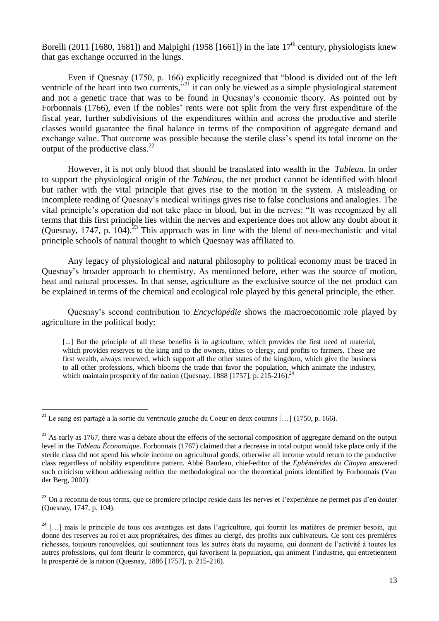Borelli (2011 [1680, 1681]) and Malpighi (1958 [1661]) in the late  $17<sup>th</sup>$  century, physiologists knew that gas exchange occurred in the lungs.

Even if Quesnay (1750, p. 166) explicitly recognized that "blood is divided out of the left ventricle of the heart into two currents,<sup>321</sup> it can only be viewed as a simple physiological statement and not a genetic trace that was to be found in Quesnay's economic theory. As pointed out by Forbonnais (1766), even if the nobles' rents were not split from the very first expenditure of the fiscal year, further subdivisions of the expenditures within and across the productive and sterile classes would guarantee the final balance in terms of the composition of aggregate demand and exchange value. That outcome was possible because the sterile class's spend its total income on the output of the productive class.<sup>22</sup>

However, it is not only blood that should be translated into wealth in the *Tableau*. In order to support the physiological origin of the *Tableau*, the net product cannot be identified with blood but rather with the vital principle that gives rise to the motion in the system. A misleading or incomplete reading of Quesnay's medical writings gives rise to false conclusions and analogies. The vital principle's operation did not take place in blood, but in the nerves: "It was recognized by all terms that this first principle lies within the nerves and experience does not allow any doubt about it (Quesnay, 1747, p. 104).<sup>23</sup> This approach was in line with the blend of neo-mechanistic and vital principle schools of natural thought to which Quesnay was affiliated to.

Any legacy of physiological and natural philosophy to political economy must be traced in Quesnay's broader approach to chemistry. As mentioned before, ether was the source of motion, heat and natural processes. In that sense, agriculture as the exclusive source of the net product can be explained in terms of the chemical and ecological role played by this general principle, the ether.

Quesnay's second contribution to *Encyclopédie* shows the macroeconomic role played by agriculture in the political body:

[...] But the principle of all these benefits is in agriculture, which provides the first need of material, which provides reserves to the king and to the owners, tithes to clergy, and profits to farmers. These are first wealth, always renewed, which support all the other states of the kingdom, which give the business to all other professions, which blooms the trade that favor the population, which animate the industry, which maintain prosperity of the nation (Quesnay, 1888 [1757], p. 215-216).<sup>24</sup>

<sup>&</sup>lt;sup>21</sup> Le sang est partagé a la sortie du ventricule gauche du Coeur en deux courans [...] (1750, p. 166).

 $22$  As early as 1767, there was a debate about the effects of the sectorial composition of aggregate demand on the output level in the *Tableau Économique*. Forbonnais (1767) claimed that a decrease in total output would take place only if the sterile class did not spend his whole income on agricultural goods, otherwise all income would return to the productive class regardless of nobility expenditure pattern. Abbé Baudeau, chief-editor of the *Ephémérides du Citoyen* answered such criticism without addressing neither the methodological nor the theoretical points identified by Forbonnais (Van der Berg, 2002).

<sup>&</sup>lt;sup>23</sup> On a reconnu de tous terms, que ce premiere principe reside dans les nerves et l'experiénce ne permet pas d'en douter (Quesnay, 1747, p. 104).

 $24$  [...] mais le principle de tous ces avantages est dans l'agriculture, qui fournit les matières de premier besoin, qui donne des reserves au roi et aux propriétaires, des dîmes au clergé, des profits aux cultivateurs. Ce sont ces premiéres richesses, toujours renouvelées, qui soutiennent tous les autres états du royaume, qui donnent de l'activité à toutes les autres professions, qui font fleurir le commerce, qui favorisent la population, qui animent l'industrie, qui entretiennent la prosperité de la nation (Quesnay, 1886 [1757], p. 215-216).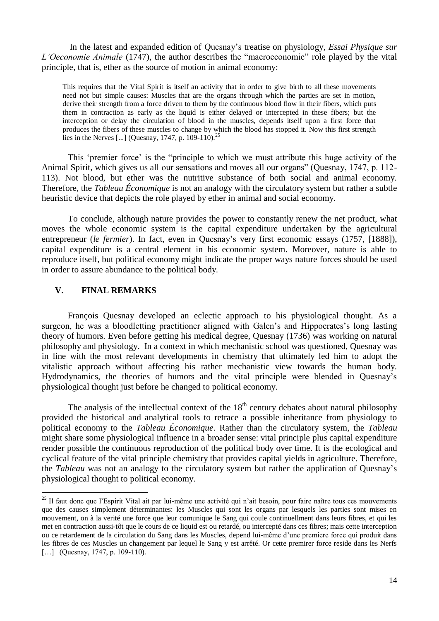In the latest and expanded edition of Quesnay's treatise on physiology, *Essai Physique sur L'Oeconomie Animale* (1747), the author describes the "macroeconomic" role played by the vital principle, that is, ether as the source of motion in animal economy:

This requires that the Vital Spirit is itself an activity that in order to give birth to all these movements need not but simple causes: Muscles that are the organs through which the parties are set in motion, derive their strength from a force driven to them by the continuous blood flow in their fibers, which puts them in contraction as early as the liquid is either delayed or intercepted in these fibers; but the interception or delay the circulation of blood in the muscles, depends itself upon a first force that produces the fibers of these muscles to change by which the blood has stopped it. Now this first strength lies in the Nerves [...] (Quesnay, 1747, p. 109-110).<sup>25</sup>

This 'premier force' is the "principle to which we must attribute this huge activity of the Animal Spirit, which gives us all our sensations and moves all our organs" (Quesnay, 1747, p. 112- 113). Not blood, but ether was the nutritive substance of both social and animal economy. Therefore, the *Tableau Économique* is not an analogy with the circulatory system but rather a subtle heuristic device that depicts the role played by ether in animal and social economy.

To conclude, although nature provides the power to constantly renew the net product, what moves the whole economic system is the capital expenditure undertaken by the agricultural entrepreneur (*le fermier*). In fact, even in Quesnay's very first economic essays (1757, [1888]), capital expenditure is a central element in his economic system. Moreover, nature is able to reproduce itself, but political economy might indicate the proper ways nature forces should be used in order to assure abundance to the political body.

### **V. FINAL REMARKS**

.

François Quesnay developed an eclectic approach to his physiological thought. As a surgeon, he was a bloodletting practitioner aligned with Galen's and Hippocrates's long lasting theory of humors. Even before getting his medical degree, Quesnay (1736) was working on natural philosophy and physiology. In a context in which mechanistic school was questioned, Quesnay was in line with the most relevant developments in chemistry that ultimately led him to adopt the vitalistic approach without affecting his rather mechanistic view towards the human body. Hydrodynamics, the theories of humors and the vital principle were blended in Quesnay's physiological thought just before he changed to political economy.

The analysis of the intellectual context of the  $18<sup>th</sup>$  century debates about natural philosophy provided the historical and analytical tools to retrace a possible inheritance from physiology to political economy to the *Tableau Économique*. Rather than the circulatory system, the *Tableau* might share some physiological influence in a broader sense: vital principle plus capital expenditure render possible the continuous reproduction of the political body over time. It is the ecological and cyclical feature of the vital principle chemistry that provides capital yields in agriculture. Therefore, the *Tableau* was not an analogy to the circulatory system but rather the application of Quesnay's physiological thought to political economy.

<sup>&</sup>lt;sup>25</sup> Il faut donc que l'Espirit Vital ait par lui-même une activité qui n'ait besoin, pour faire naître tous ces mouvements que des causes simplement déterminantes: les Muscles qui sont les organs par lesquels les parties sont mises en mouvement, on à la verité une force que leur comunique le Sang qui coule continuellment dans leurs fibres, et qui les met en contraction aussi-tôt que le cours de ce liquid est ou retardé, ou intercepté dans ces fibres; mais cette interception ou ce retardement de la circulation du Sang dans les Muscles, depend lui-même d'une premiere force qui produit dans les fibres de ces Muscles un changement par lequel le Sang y est arrêté. Or cette premirer force reside dans les Nerfs [...] (Quesnay, 1747, p. 109-110).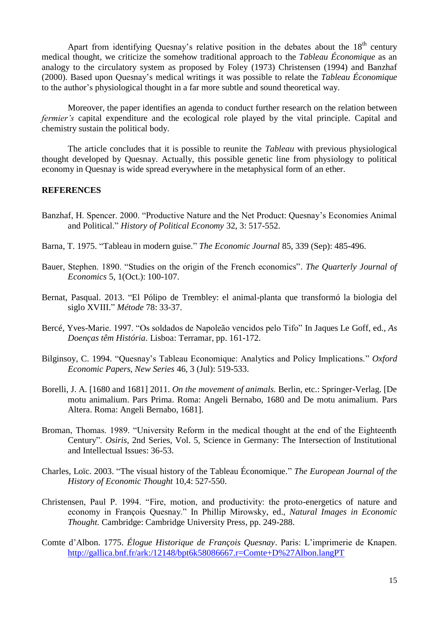Apart from identifying Quesnay's relative position in the debates about the  $18<sup>th</sup>$  century medical thought, we criticize the somehow traditional approach to the *Tableau Économique* as an analogy to the circulatory system as proposed by Foley (1973) Christensen (1994) and Banzhaf (2000). Based upon Quesnay's medical writings it was possible to relate the *Tableau Économique* to the author's physiological thought in a far more subtle and sound theoretical way.

Moreover, the paper identifies an agenda to conduct further research on the relation between *fermier's* capital expenditure and the ecological role played by the vital principle. Capital and chemistry sustain the political body.

The article concludes that it is possible to reunite the *Tableau* with previous physiological thought developed by Quesnay. Actually, this possible genetic line from physiology to political economy in Quesnay is wide spread everywhere in the metaphysical form of an ether.

### **REFERENCES**

- Banzhaf, H. Spencer. 2000. "Productive Nature and the Net Product: Quesnay's Economies Animal and Political." *History of Political Economy* 32, 3: 517-552.
- Barna, T. 1975. "Tableau in modern guise." *The Economic Journal* 85, 339 (Sep): 485-496.
- Bauer, Stephen. 1890. "Studies on the origin of the French economics". *The Quarterly Journal of Economics* 5, 1(Oct.): 100-107.
- Bernat, Pasqual. 2013. "El Pólipo de Trembley: el animal-planta que transformó la biologia del siglo XVIII." *Métode* 78: 33-37.
- Bercé, Yves-Marie. 1997. "Os soldados de Napoleão vencidos pelo Tifo" In Jaques Le Goff, ed., *As Doenças têm História*. Lisboa: Terramar, pp. 161-172.
- Bilginsoy, C. 1994. "Quesnay's Tableau Economique: Analytics and Policy Implications." *Oxford Economic Papers, New Series* 46, 3 (Jul): 519-533.
- Borelli, J. A. [1680 and 1681] 2011. *On the movement of animals.* Berlin, etc.: Springer-Verlag. [De motu animalium. Pars Prima. Roma: Angeli Bernabo, 1680 and De motu animalium. Pars Altera. Roma: Angeli Bernabo, 1681].
- Broman, Thomas. 1989. "University Reform in the medical thought at the end of the Eighteenth Century". *Osiris*, 2nd Series, Vol. 5, Science in Germany: The Intersection of Institutional and Intellectual Issues: 36-53.
- Charles, Loïc. 2003. "The visual history of the Tableau Économique." *The European Journal of the History of Economic Thought* 10,4: 527-550.
- Christensen, Paul P. 1994. "Fire, motion, and productivity: the proto-energetics of nature and economy in François Quesnay." In Phillip Mirowsky, ed., *Natural Images in Economic Thought.* Cambridge: Cambridge University Press, pp. 249-288.
- Comte d'Albon. 1775. *Élogue Historique de François Quesnay*. Paris: L'imprimerie de Knapen. <http://gallica.bnf.fr/ark:/12148/bpt6k58086667.r=Comte+D%27Albon.langPT>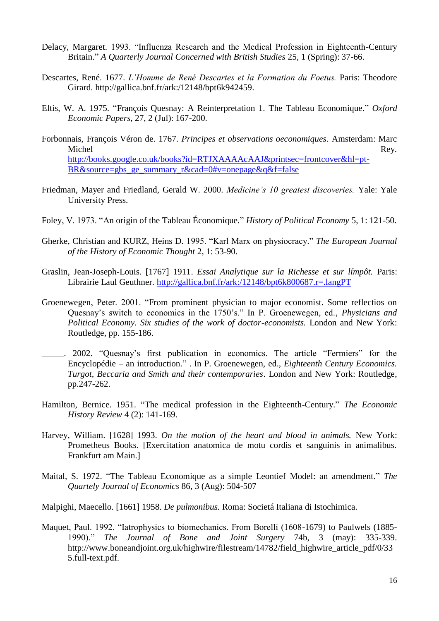- Delacy, Margaret. 1993. "Influenza Research and the Medical Profession in Eighteenth-Century Britain." *A Quarterly Journal Concerned with British Studies* 25, 1 (Spring): 37-66.
- Descartes, René. 1677. *L'Homme de René Descartes et la Formation du Foetus.* Paris: Theodore Girard. [http://gallica.bnf.fr/ark:/12148/bpt6k942459.](http://gallica.bnf.fr/ark:/12148/bpt6k942459)
- Eltis, W. A. 1975. "François Quesnay: A Reinterpretation 1. The Tableau Economique." *Oxford Economic Papers*, 27, 2 (Jul): 167-200.
- Forbonnais, François Véron de. 1767. *Principes et observations oeconomiques*. Amsterdam: Marc Michel Rey. [http://books.google.co.uk/books?id=RTJXAAAAcAAJ&printsec=frontcover&hl=pt-](http://books.google.co.uk/books?id=RTJXAAAAcAAJ&printsec=frontcover&hl=pt-BR&source=gbs_ge_summary_r&cad=0#v=onepage&q&f=false)[BR&source=gbs\\_ge\\_summary\\_r&cad=0#v=onepage&q&f=false](http://books.google.co.uk/books?id=RTJXAAAAcAAJ&printsec=frontcover&hl=pt-BR&source=gbs_ge_summary_r&cad=0#v=onepage&q&f=false)
- Friedman, Mayer and Friedland, Gerald W. 2000. *Medicine's 10 greatest discoveries.* Yale: Yale University Press.
- Foley, V. 1973. "An origin of the Tableau Économique." *History of Political Economy* 5, 1: 121-50.
- Gherke, Christian and KURZ, Heins D. 1995. "Karl Marx on physiocracy." *The European Journal of the History of Economic Thought* 2, 1: 53-90.
- Graslin, Jean-Joseph-Louis. [1767] 1911. *Essai Analytique sur la Richesse et sur límpôt.* Paris: Librairie Laul Geuthner.<http://gallica.bnf.fr/ark:/12148/bpt6k800687.r=.langPT>
- Groenewegen, Peter. 2001. "From prominent physician to major economist. Some reflectios on Quesnay's switch to economics in the 1750's." In P. Groenewegen, ed., *Physicians and Political Economy. Six studies of the work of doctor-economists.* London and New York: Routledge, pp. 155-186.
- \_\_\_\_\_. 2002. "Quesnay's first publication in economics. The article "Fermiers" for the Encyclopédie – an introduction." . In P. Groenewegen, ed., *Eighteenth Century Economics. Turgot, Beccaria and Smith and their contemporaries*. London and New York: Routledge, pp.247-262.
- Hamilton, Bernice. 1951. "The medical profession in the Eighteenth-Century." *The Economic History Review* 4 (2): 141-169.
- Harvey, William. [1628] 1993. *On the motion of the heart and blood in animals.* New York: Prometheus Books. [Exercitation anatomica de motu cordis et sanguinis in animalibus. Frankfurt am Main.]
- Maital, S. 1972. "The Tableau Economique as a simple Leontief Model: an amendment." *The Quartely Journal of Economics* 86, 3 (Aug): 504-507
- Malpighi, Maecello. [1661] 1958. *De pulmonibus.* Roma: Societá Italiana di Istochimica.
- Maquet, Paul. 1992. "Iatrophysics to biomechanics. From Borelli (1608-1679) to Paulwels (1885- 1990)." *The Journal of Bone and Joint Surgery* 74b, 3 (may): 335-339. [http://www.boneandjoint.org.uk/highwire/filestream/14782/field\\_highwire\\_article\\_pdf/0/33](http://www.boneandjoint.org.uk/highwire/filestream/14782/field_highwire_article_pdf/0/335.full-text.pdf) [5.full-text.pdf.](http://www.boneandjoint.org.uk/highwire/filestream/14782/field_highwire_article_pdf/0/335.full-text.pdf)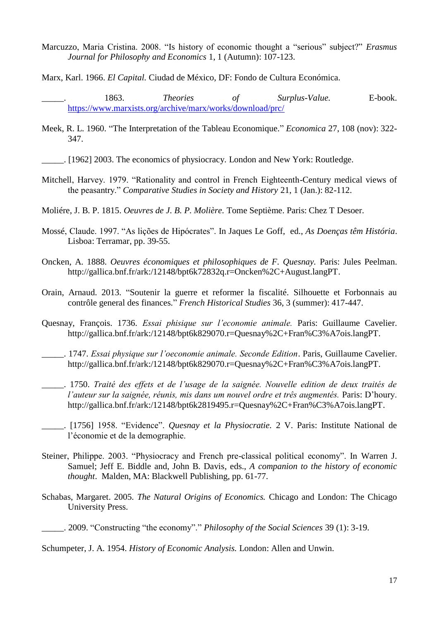Marcuzzo, Maria Cristina. 2008. "Is history of economic thought a "serious" subject?" *Erasmus Journal for Philosophy and Economics* 1, 1 (Autumn): 107-123.

Marx, Karl. 1966. *El Capital.* Ciudad de México, DF: Fondo de Cultura Económica.

- Meek, R. L. 1960. "The Interpretation of the Tableau Economique." *Economica* 27, 108 (nov): 322- 347.
- \_\_\_\_\_. [1962] 2003. The economics of physiocracy. London and New York: Routledge.
- Mitchell, Harvey. 1979. "Rationality and control in French Eighteenth-Century medical views of the peasantry." *Comparative Studies in Society and History* 21, 1 (Jan.): 82-112.
- Moliére, J. B. P. 1815. *Oeuvres de J. B. P. Molière.* Tome Septième. Paris: Chez T Desoer.
- Mossé, Claude. 1997. "As lições de Hipócrates". In Jaques Le Goff, ed., *As Doenças têm História*. Lisboa: Terramar, pp. 39-55.
- Oncken, A. 1888. *Oeuvres économiques et philosophiques de F. Quesnay.* Paris: Jules Peelman. [http://gallica.bnf.fr/ark:/12148/bpt6k72832q.r=Oncken%2C+August.langPT.](http://gallica.bnf.fr/ark:/12148/bpt6k72832q.r=Oncken%2C+August.langPT)
- Orain, Arnaud. 2013. "Soutenir la guerre et reformer la fiscalité. Silhouette et Forbonnais au contrôle general des finances." *French Historical Studies* 36, 3 (summer): 417-447.
- Quesnay, François. 1736. *Essai phisique sur l'economie animale.* Paris: Guillaume Cavelier. [http://gallica.bnf.fr/ark:/12148/bpt6k829070.r=Quesnay%2C+Fran%C3%A7ois.langPT.](http://gallica.bnf.fr/ark:/12148/bpt6k829070.r=Quesnay%25)
- \_\_\_\_\_. 1747. *Essai physique sur l'oeconomie animale. Seconde Edition*. Paris, Guillaume Cavelier. [http://gallica.bnf.fr/ark:/12148/bpt6k829070.r=Quesnay%2C+Fran%C3%A7ois.langPT.](http://gallica.bnf.fr/ark:/12148/bpt6k829070.r=Quesnay%25)
- \_\_\_\_\_. 1750. *Traité des effets et de l'usage de la saignée. Nouvelle edition de deux traités de l'auteur sur la saignée, réunis, mis dans um nouvel ordre et três augmentés.* Paris: D'houry. [http://gallica.bnf.fr/ark:/12148/bpt6k2819495.r=Quesnay%2C+Fran%C3%A7ois.langPT.](http://gallica.bnf.fr/ark:/12148/bpt6k2819495.r=Quesnay%2C+Fran%C3%A7ois.langPT)
- \_\_\_\_\_. [1756] 1958. "Evidence". *Quesnay et la Physiocratie.* 2 V. Paris: Institute National de l'économie et de la demographie.
- Steiner, Philippe. 2003. "Physiocracy and French pre-classical political economy". In Warren J. Samuel; Jeff E. Biddle and, John B. Davis, eds., *A companion to the history of economic thought*. Malden, MA: Blackwell Publishing, pp. 61-77.
- Schabas, Margaret. 2005. *The Natural Origins of Economics.* Chicago and London: The Chicago University Press.
- \_\_\_\_\_. 2009. "Constructing "the economy"." *Philosophy of the Social Sciences* 39 (1): 3-19.

Schumpeter, J. A. 1954. *History of Economic Analysis.* London: Allen and Unwin.

\_\_\_\_\_. 1863. *Theories of Surplus-Value.* E-book. <https://www.marxists.org/archive/marx/works/download/prc/>